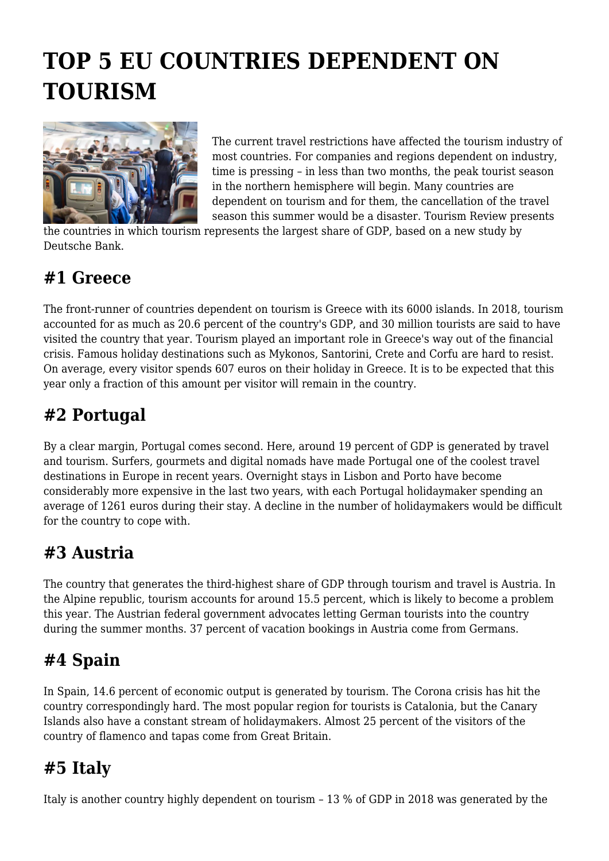# **TOP 5 EU COUNTRIES DEPENDENT ON TOURISM**



The current travel restrictions have affected the tourism industry of most countries. For companies and regions dependent on industry, time is pressing – in less than two months, the peak tourist season in the northern hemisphere will begin. Many countries are dependent on tourism and for them, the cancellation of the travel season this summer would be a disaster. Tourism Review presents

the countries in which tourism represents the largest share of GDP, based on a new study by Deutsche Bank.

#### **#1 Greece**

The front-runner of countries dependent on tourism is Greece with its 6000 islands. In 2018, tourism accounted for as much as 20.6 percent of the country's GDP, and 30 million tourists are said to have visited the country that year. Tourism played an important role in Greece's way out of the financial crisis. Famous holiday destinations such as Mykonos, Santorini, Crete and Corfu are hard to resist. On average, every visitor spends 607 euros on their holiday in Greece. It is to be expected that this year only a fraction of this amount per visitor will remain in the country.

## **#2 Portugal**

By a clear margin, Portugal comes second. Here, around 19 percent of GDP is generated by travel and tourism. Surfers, gourmets and digital nomads have made Portugal one of the coolest travel destinations in Europe in recent years. Overnight stays in Lisbon and Porto have become considerably more expensive in the last two years, with each Portugal holidaymaker spending an average of 1261 euros during their stay. A decline in the number of holidaymakers would be difficult for the country to cope with.

## **#3 Austria**

The country that generates the third-highest share of GDP through tourism and travel is Austria. In the Alpine republic, tourism accounts for around 15.5 percent, which is likely to become a problem this year. The Austrian federal government advocates letting German tourists into the country during the summer months. 37 percent of vacation bookings in Austria come from Germans.

### **#4 Spain**

In Spain, 14.6 percent of economic output is generated by tourism. The Corona crisis has hit the country correspondingly hard. The most popular region for tourists is Catalonia, but the Canary Islands also have a constant stream of holidaymakers. Almost 25 percent of the visitors of the country of flamenco and tapas come from Great Britain.

### **#5 Italy**

Italy is another country highly dependent on tourism – 13 % of GDP in 2018 was generated by the